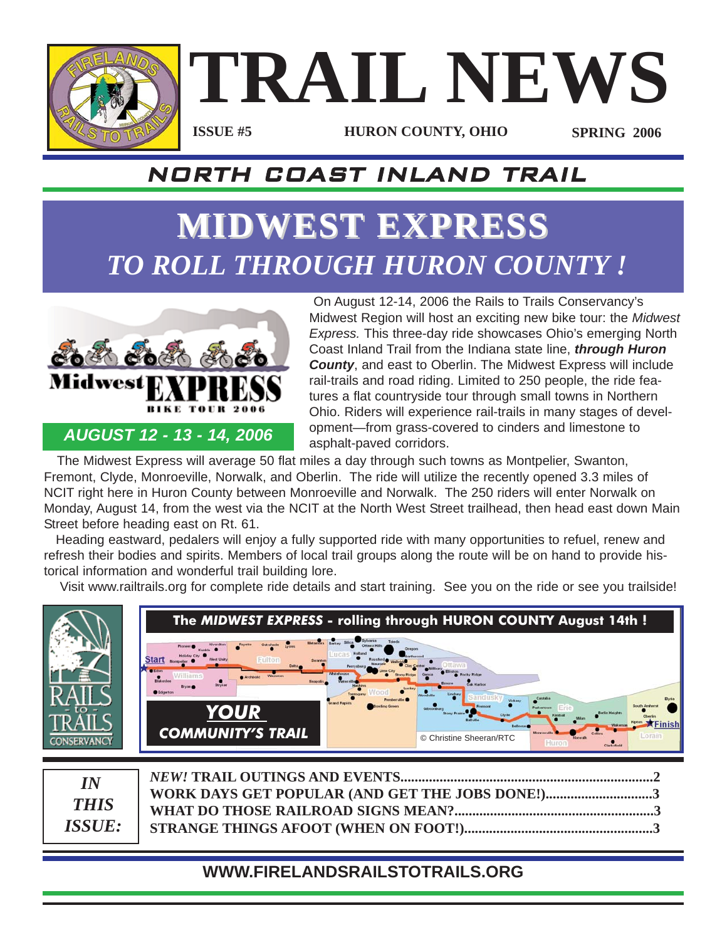

# **TRAIL NEWS ISSUE #5**

**HURON COUNTY, OHIO SPRING 2006**

### NORTH COAST INLAND TRAIL

## **MIDWEST MIDWEST EXPRESS EXPRESS** *TO ROLL THROUGH HURON COUNTY !*



*AUGUST 12 - 13 - 14, 2006*

On August 12-14, 2006 the Rails to Trails Conservancy's Midwest Region will host an exciting new bike tour: the *Midwest Express.* This three-day ride showcases Ohio's emerging North Coast Inland Trail from the Indiana state line, *through Huron County*, and east to Oberlin. The Midwest Express will include rail-trails and road riding. Limited to 250 people, the ride features a flat countryside tour through small towns in Northern Ohio. Riders will experience rail-trails in many stages of development—from grass-covered to cinders and limestone to asphalt-paved corridors.

The Midwest Express will average 50 flat miles a day through such towns as Montpelier, Swanton, Fremont, Clyde, Monroeville, Norwalk, and Oberlin. The ride will utilize the recently opened 3.3 miles of NCIT right here in Huron County between Monroeville and Norwalk. The 250 riders will enter Norwalk on Monday, August 14, from the west via the NCIT at the North West Street trailhead, then head east down Main Street before heading east on Rt. 61.

Heading eastward, pedalers will enjoy a fully supported ride with many opportunities to refuel, renew and refresh their bodies and spirits. Members of local trail groups along the route will be on hand to provide historical information and wonderful trail building lore.

Visit www.railtrails.org for complete ride details and start training. See you on the ride or see you trailside!

| CONSERVANCI                        | The MIDWEST EXPRESS - rolling through HURON COUNTY August 14th !<br>Archbold<br>Edgerto<br><b>YOUR</b><br><b>COMMUNITY'S TRAIL</b><br>© Christine Sheeran/RTC<br>Huron<br>Clark stie |
|------------------------------------|--------------------------------------------------------------------------------------------------------------------------------------------------------------------------------------|
| IN<br><b>THIS</b><br><b>ISSUE:</b> | <b>NEW! TRAIL OUTINGS AND EVENTS</b><br>WORK DAYS GET POPULAR (AND GET THE JOBS DONE!)<br>WHAT DO THOSE RAILROAD SIGNS MEAN?<br>STRANGE THINGS AFOOT (WHEN ON FOOT!).                |

#### **WWW.FIRELANDSRAILSTOTRAILS.ORG**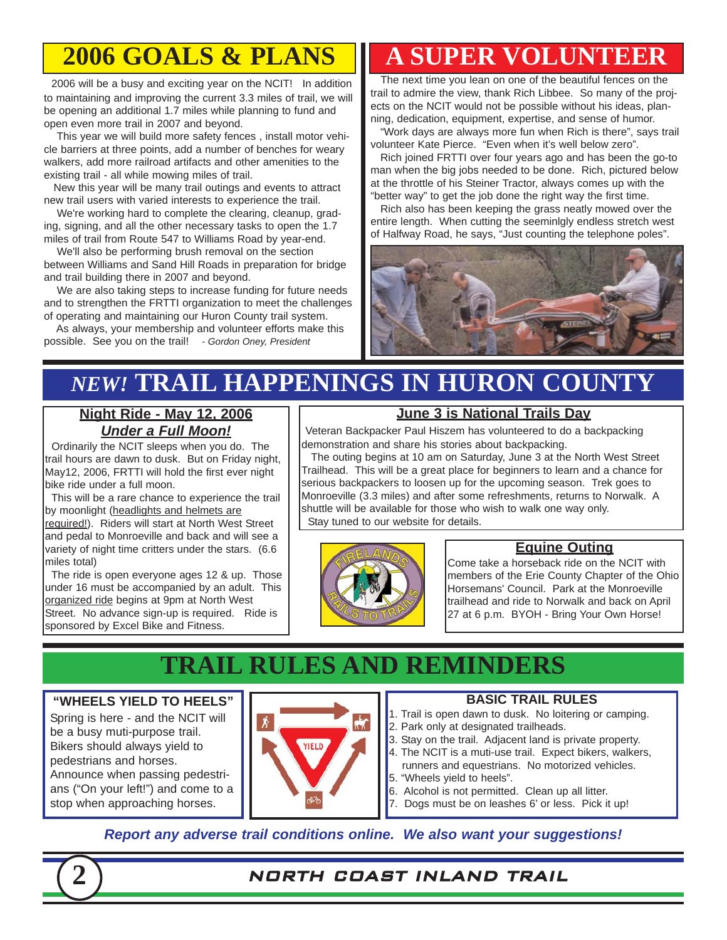### **2006 GOALS & PLANS**

2006 will be a busy and exciting year on the NCIT! In addition to maintaining and improving the current 3.3 miles of trail, we will be opening an additional 1.7 miles while planning to fund and open even more trail in 2007 and beyond.

This year we will build more safety fences , install motor vehicle barriers at three points, add a number of benches for weary walkers, add more railroad artifacts and other amenities to the existing trail - all while mowing miles of trail.

New this year will be many trail outings and events to attract new trail users with varied interests to experience the trail.

We're working hard to complete the clearing, cleanup, grading, signing, and all the other necessary tasks to open the 1.7 miles of trail from Route 547 to Williams Road by year-end.

We'll also be performing brush removal on the section between Williams and Sand Hill Roads in preparation for bridge and trail building there in 2007 and beyond.

We are also taking steps to increase funding for future needs and to strengthen the FRTTI organization to meet the challenges of operating and maintaining our Huron County trail system.

As always, your membership and volunteer efforts make this possible. See you on the trail! *- Gordon Oney, President*

### **A SUPER VOLUNTEER**

The next time you lean on one of the beautiful fences on the trail to admire the view, thank Rich Libbee. So many of the projects on the NCIT would not be possible without his ideas, planning, dedication, equipment, expertise, and sense of humor.

"Work days are always more fun when Rich is there", says trail volunteer Kate Pierce. "Even when it's well below zero".

Rich joined FRTTI over four years ago and has been the go-to man when the big jobs needed to be done. Rich, pictured below at the throttle of his Steiner Tractor, always comes up with the "better way" to get the job done the right way the first time.

Rich also has been keeping the grass neatly mowed over the entire length. When cutting the seeminlgly endless stretch west of Halfway Road, he says, "Just counting the telephone poles".



### *NEW!* **TRAIL HAPPENINGS IN HURON COUNTY**

#### **Night Ride - May 12, 2006** *Under a Full Moon!*

Ordinarily the NCIT sleeps when you do. The trail hours are dawn to dusk. But on Friday night, May12, 2006, FRTTI will hold the first ever night bike ride under a full moon.

This will be a rare chance to experience the trail by moonlight (headlights and helmets are

required!). Riders will start at North West Street and pedal to Monroeville and back and will see a variety of night time critters under the stars. (6.6 miles total)

The ride is open everyone ages 12 & up. Those under 16 must be accompanied by an adult. This organized ride begins at 9pm at North West Street. No advance sign-up is required. Ride is sponsored by Excel Bike and Fitness.

#### **June 3 is National Trails Day**

Veteran Backpacker Paul Hiszem has volunteered to do a backpacking demonstration and share his stories about backpacking.

The outing begins at 10 am on Saturday, June 3 at the North West Street Trailhead. This will be a great place for beginners to learn and a chance for serious backpackers to loosen up for the upcoming season. Trek goes to Monroeville (3.3 miles) and after some refreshments, returns to Norwalk. A shuttle will be available for those who wish to walk one way only. Stay tuned to our website for details.



#### **Equine Outing**

Come take a horseback ride on the NCIT with members of the Erie County Chapter of the Ohio Horsemans' Council. Park at the Monroeville trailhead and ride to Norwalk and back on April 27 at 6 p.m. BYOH - Bring Your Own Horse!

### **TRAIL RULES AND REMINDERS**

#### **"WHEELS YIELD TO HEELS"**

Spring is here - and the NCIT will be a busy muti-purpose trail. Bikers should always yield to pedestrians and horses. Announce when passing pedestrians ("On your left!") and come to a stop when approaching horses.



#### **BASIC TRAIL RULES**

1. Trail is open dawn to dusk. No loitering or camping.

- 2. Park only at designated trailheads.
- 3. Stay on the trail. Adjacent land is private property.
- 4. The NCIT is a muti-use trail. Expect bikers, walkers, runners and equestrians. No motorized vehicles.
- 5. "Wheels yield to heels".
- 6. Alcohol is not permitted. Clean up all litter.
- 7. Dogs must be on leashes 6' or less. Pick it up!

#### *Report any adverse trail conditions online. We also want your suggestions!*



#### **2** NORTH COAST INLAND TRAIL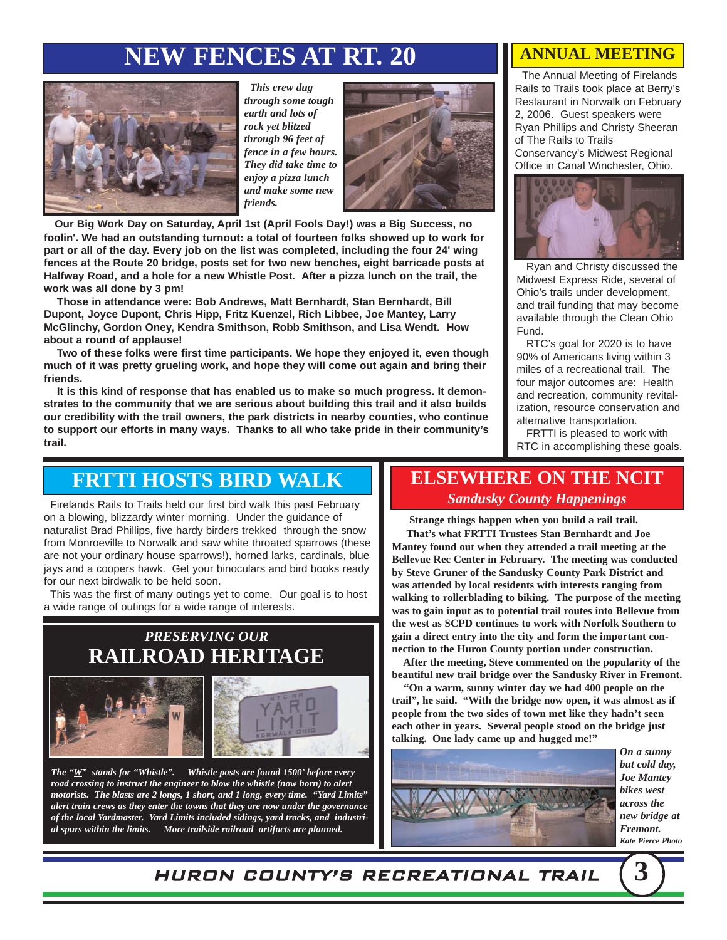### **NEW FENCES AT RT. 20**



*This crew dug through some tough earth and lots of rock yet blitzed through 96 feet of fence in a few hours. They did take time to enjoy a pizza lunch and make some new friends.* 



**Our Big Work Day on Saturday, April 1st (April Fools Day!) was a Big Success, no foolin'. We had an outstanding turnout: a total of fourteen folks showed up to work for part or all of the day. Every job on the list was completed, including the four 24' wing fences at the Route 20 bridge, posts set for two new benches, eight barricade posts at Halfway Road, and a hole for a new Whistle Post. After a pizza lunch on the trail, the work was all done by 3 pm!**

**Those in attendance were: Bob Andrews, Matt Bernhardt, Stan Bernhardt, Bill Dupont, Joyce Dupont, Chris Hipp, Fritz Kuenzel, Rich Libbee, Joe Mantey, Larry McGlinchy, Gordon Oney, Kendra Smithson, Robb Smithson, and Lisa Wendt. How about a round of applause!**

**Two of these folks were first time participants. We hope they enjoyed it, even though much of it was pretty grueling work, and hope they will come out again and bring their friends.**

**It is this kind of response that has enabled us to make so much progress. It demonstrates to the community that we are serious about building this trail and it also builds our credibility with the trail owners, the park districts in nearby counties, who continue to support our efforts in many ways. Thanks to all who take pride in their community's trail.**

#### **ANNUAL MEETING**

The Annual Meeting of Firelands Rails to Trails took place at Berry's Restaurant in Norwalk on February 2, 2006. Guest speakers were Ryan Phillips and Christy Sheeran of The Rails to Trails Conservancy's Midwest Regional Office in Canal Winchester, Ohio.



Ryan and Christy discussed the Midwest Express Ride, several of Ohio's trails under development, and trail funding that may become available through the Clean Ohio Fund.

RTC's goal for 2020 is to have 90% of Americans living within 3 miles of a recreational trail. The four major outcomes are: Health and recreation, community revitalization, resource conservation and alternative transportation.

FRTTI is pleased to work with RTC in accomplishing these goals.

#### **FRTTI HOSTS BIRD WALK**

Firelands Rails to Trails held our first bird walk this past February on a blowing, blizzardy winter morning. Under the guidance of naturalist Brad Phillips, five hardy birders trekked through the snow from Monroeville to Norwalk and saw white throated sparrows (these are not your ordinary house sparrows!), horned larks, cardinals, blue jays and a coopers hawk. Get your binoculars and bird books ready for our next birdwalk to be held soon.

This was the first of many outings yet to come. Our goal is to host a wide range of outings for a wide range of interests.

#### *PRESERVING OUR*  **RAILROAD HERITAGE**





*The "W" stands for "Whistle". Whistle posts are found 1500' before every road crossing to instruct the engineer to blow the whistle (now horn) to alert motorists. The blasts are 2 longs, 1 short, and 1 long, every time. "Yard Limits" alert train crews as they enter the towns that they are now under the governance of the local Yardmaster. Yard Limits included sidings, yard tracks, and industrial spurs within the limits. More trailside railroad artifacts are planned.*

#### **ELSEWHERE ON THE NCIT** *Sandusky County Happenings*

**Strange things happen when you build a rail trail.** 

**That's what FRTTI Trustees Stan Bernhardt and Joe Mantey found out when they attended a trail meeting at the Bellevue Rec Center in February. The meeting was conducted by Steve Gruner of the Sandusky County Park District and was attended by local residents with interests ranging from walking to rollerblading to biking. The purpose of the meeting was to gain input as to potential trail routes into Bellevue from the west as SCPD continues to work with Norfolk Southern to gain a direct entry into the city and form the important connection to the Huron County portion under construction.**

**After the meeting, Steve commented on the popularity of the beautiful new trail bridge over the Sandusky River in Fremont.** 

**"On a warm, sunny winter day we had 400 people on the trail", he said. "With the bridge now open, it was almost as if people from the two sides of town met like they hadn't seen each other in years. Several people stood on the bridge just talking. One lady came up and hugged me!"**



*On a sunny but cold day, Joe Mantey bikes west across the new bridge at Fremont. Kate Pierce Photo*

HURON COUNTY'S RECREATIONAL TRAIL **3**